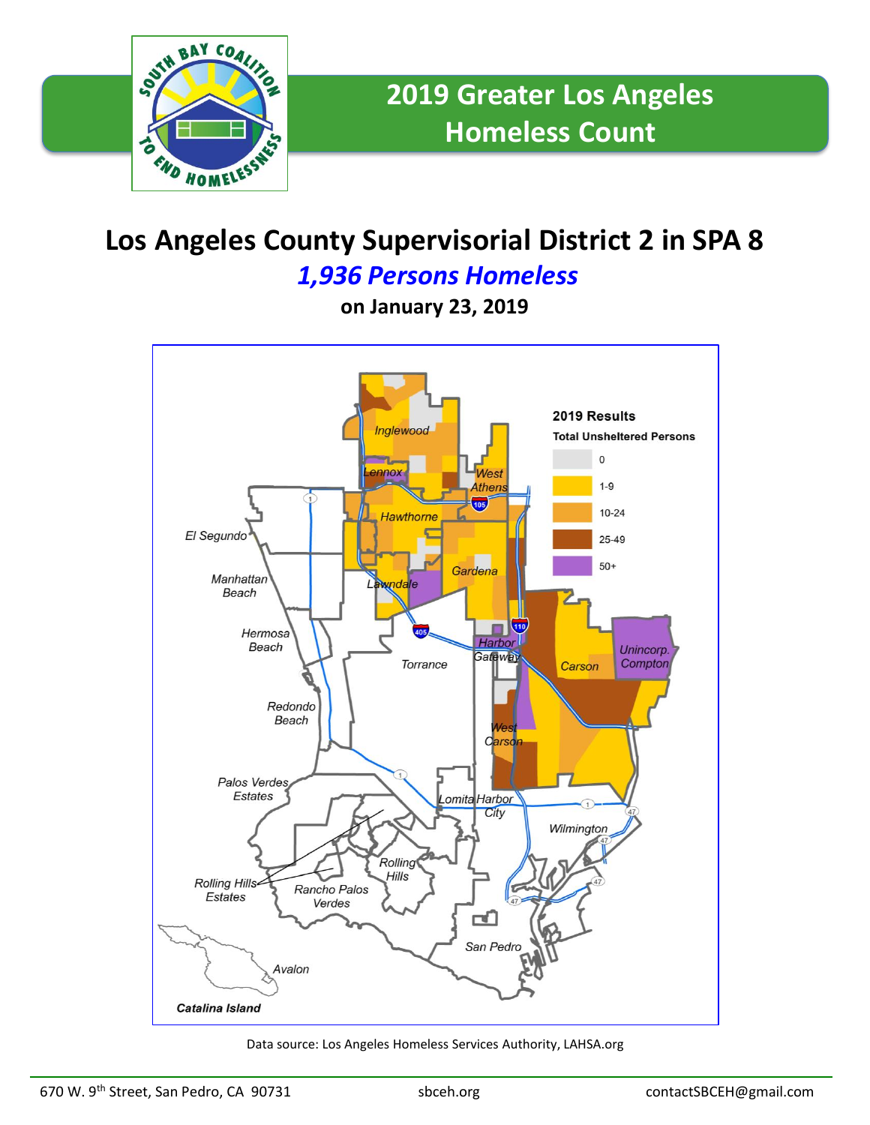

## **Los Angeles County Supervisorial District 2 in SPA 8**

*1,936 Persons Homeless*

**on January 23, 2019**



Data source: Los Angeles Homeless Services Authority, LAHSA.org